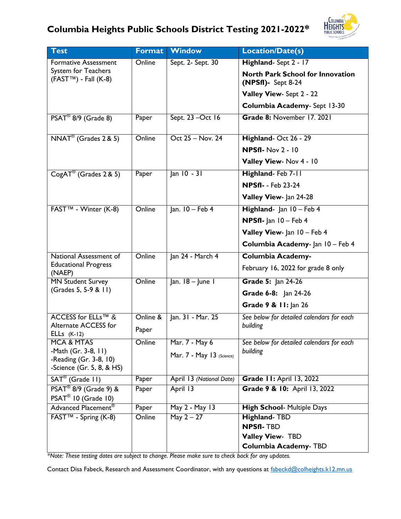

| <b>Test</b>                                         | Format   | Window                    | Location/Date(s)                                                 |  |
|-----------------------------------------------------|----------|---------------------------|------------------------------------------------------------------|--|
| <b>Formative Assessment</b>                         | Online   | Sept. 2- Sept. 30         | Highland-Sept 2 - 17                                             |  |
| System for Teachers<br>$(FASTTM) - Fall (K-8)$      |          |                           | <b>North Park School for Innovation</b><br>$(NPSfI)$ - Sept 8-24 |  |
|                                                     |          |                           | Valley View- Sept 2 - 22                                         |  |
|                                                     |          |                           | Columbia Academy- Sept 13-30                                     |  |
| PSAT <sup>®</sup> 8/9 (Grade 8)                     | Paper    | Sept. 23 - Oct 16         | Grade 8: November 17. 2021                                       |  |
| $NNAT^{\circledR}$ (Grades 2 & 5)                   | Online   | Oct 25 - Nov. 24          | Highland-Oct 26 - 29                                             |  |
|                                                     |          |                           | <b>NPSfI- Nov 2 - 10</b>                                         |  |
|                                                     |          |                           | Valley View- Nov 4 - 10                                          |  |
| CogAT <sup>®</sup> (Grades 2 & 5)                   | Paper    | Jan 10 - 31               | Highland-Feb 7-11                                                |  |
|                                                     |          |                           | <b>NPSfI- - Feb 23-24</b>                                        |  |
|                                                     |          |                           | Valley View- Jan 24-28                                           |  |
| FAST™ - Winter (K-8)                                | Online   | $lan. 10 - Feb 4$         | Highland- Jan 10 - Feb 4                                         |  |
|                                                     |          |                           | <b>NPSfI-</b> Jan $10$ – Feb 4                                   |  |
|                                                     |          |                           | Valley View- Jan 10 - Feb 4                                      |  |
|                                                     |          |                           | Columbia Academy- Jan 10 - Feb 4                                 |  |
| National Assessment of                              | Online   | Jan 24 - March 4          | <b>Columbia Academy-</b>                                         |  |
| <b>Educational Progress</b><br>(NAEP)               |          |                           | February 16, 2022 for grade 8 only                               |  |
| <b>MN Student Survey</b>                            | Online   | Jan. 18 - June 1          | Grade 5: Jan 24-26                                               |  |
| (Grades 5, 5-9 & 11)                                |          |                           | Grade 6-8: Jan 24-26                                             |  |
|                                                     |          |                           | Grade 9 & 11: Jan 26                                             |  |
| ACCESS for ELLs™ &                                  | Online & | Jan. 31 - Mar. 25         | See below for detailed calendars for each                        |  |
| Alternate ACCESS for<br>ELLs $(K-12)$               | Paper    |                           | building                                                         |  |
| <b>MCA &amp; MTAS</b>                               | Online   | Mar. 7 - May 6            | See below for detailed calendars for each                        |  |
| -Math (Gr. 3-8, 11)                                 |          | Mar. 7 - May 13 (Science) | building                                                         |  |
| -Reading (Gr. 3-8, 10)<br>-Science (Gr. 5, 8, & HS) |          |                           |                                                                  |  |
| SAT <sup>®</sup> (Grade 11)                         | Paper    | April 13 (National Date)  | <b>Grade 11: April 13, 2022</b>                                  |  |
| PSAT <sup>®</sup> 8/9 (Grade 9) &                   | Paper    | April 13                  | Grade 9 & 10: April 13, 2022                                     |  |
| PSAT <sup>®</sup> 10 (Grade 10)                     |          |                           |                                                                  |  |
| Advanced Placement®                                 | Paper    | May 2 - May 13            | <b>High School- Multiple Days</b>                                |  |
| FAST™ - Spring (K-8)                                | Online   | May $2 - 27$              | <b>Highland-TBD</b>                                              |  |
|                                                     |          |                           | <b>NPSfI-TBD</b>                                                 |  |
|                                                     |          |                           | Valley View- TBD<br><b>Columbia Academy- TBD</b>                 |  |
|                                                     |          |                           |                                                                  |  |

*\*Note: These testing dates are subject to change. Please make sure to check back for any updates.*

Contact Disa Fabeck, Research and Assessment Coordinator, with any questions at [fabeckd@colheights.k12.mn.us](mailto:fabeckd@colheights.k12.mn.us)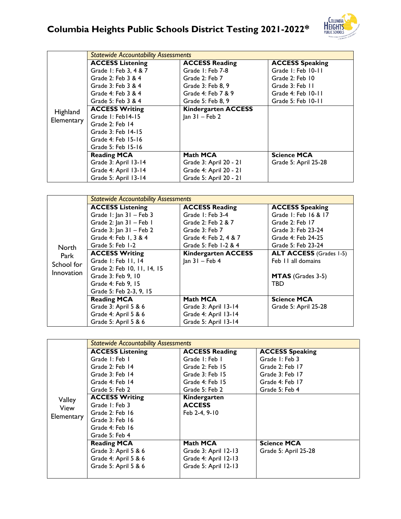## **Columbia Heights Public Schools District Testing 2021-2022\***



|            | <b>Statewide Accountability Assessments</b> |                            |                        |  |
|------------|---------------------------------------------|----------------------------|------------------------|--|
|            | <b>ACCESS Listening</b>                     | <b>ACCESS Reading</b>      | <b>ACCESS Speaking</b> |  |
|            | Grade 1: Feb 3, 4 & 7                       | Grade I: Feb 7-8           | Grade I: Feb 10-11     |  |
|            | Grade 2: Feb 3 & 4                          | Grade 2: Feb 7             | Grade 2: Feb 10        |  |
|            | Grade 3: Feb 3 & 4                          | Grade 3: Feb 8, 9          | Grade 3: Feb 11        |  |
|            | Grade 4: Feb 3 & 4                          | Grade 4: Feb 7 & 9         | Grade 4: Feb 10-11     |  |
|            | Grade 5: Feb 3 & 4                          | Grade 5: Feb 8, 9          | Grade 5: Feb 10-11     |  |
| Highland   | <b>ACCESS Writing</b>                       | <b>Kindergarten ACCESS</b> |                        |  |
|            | Grade I: Feb14-15                           | $ an 31 - Feb 2$           |                        |  |
| Elementary | Grade 2: Feb 14                             |                            |                        |  |
|            | Grade 3: Feb 14-15                          |                            |                        |  |
|            | Grade 4: Feb 15-16                          |                            |                        |  |
|            | Grade 5: Feb 15-16                          |                            |                        |  |
|            | <b>Reading MCA</b>                          | Math MCA                   | <b>Science MCA</b>     |  |
|            | Grade 3: April 13-14                        | Grade 3: April 20 - 21     | Grade 5: April 25-28   |  |
|            | Grade 4: April 13-14                        | Grade 4: April 20 - 21     |                        |  |
|            | Grade 5: April 13-14                        | Grade 5: April 20 - 21     |                        |  |

|                             | <b>Statewide Accountability Assessments</b> |                            |                                |  |
|-----------------------------|---------------------------------------------|----------------------------|--------------------------------|--|
|                             | <b>ACCESS Listening</b>                     | <b>ACCESS Reading</b>      | <b>ACCESS Speaking</b>         |  |
|                             | Grade I: Jan 31 - Feb 3                     | Grade I: Feb 3-4           | Grade 1: Feb 16 & 17           |  |
|                             | Grade 2: Jan 31 - Feb 1                     | Grade 2: Feb 2 & 7         | Grade 2: Feb 17                |  |
| North<br>Park<br>School for | Grade $3:$ Jan $31 -$ Feb 2                 | Grade 3: Feb 7             | Grade 3: Feb 23-24             |  |
|                             | Grade 4: Feb 1, 3 & 4                       | Grade 4: Feb 2, 4 & 7      | Grade 4: Feb 24-25             |  |
|                             | Grade 5: Feb 1-2                            | Grade 5: Feb 1-2 & 4       | Grade 5: Feb 23-24             |  |
|                             | <b>ACCESS Writing</b>                       | <b>Kindergarten ACCESS</b> | <b>ALT ACCESS</b> (Grades 1-5) |  |
|                             | Grade I: Feb II, 14                         | $ an 31 - Feb 4$           | Feb 11 all domains             |  |
| Innovation                  | Grade 2: Feb 10, 11, 14, 15                 |                            |                                |  |
|                             | Grade 3: Feb 9, 10                          |                            | <b>MTAS</b> (Grades 3-5)       |  |
|                             | Grade 4: Feb 9. 15                          |                            | TBD                            |  |
|                             | Grade 5: Feb 2-3, 9, 15                     |                            |                                |  |
|                             | <b>Reading MCA</b>                          | <b>Math MCA</b>            | <b>Science MCA</b>             |  |
|                             | Grade 3: April 5 & 6                        | Grade 3: April 13-14       | Grade 5: April 25-28           |  |
|                             | Grade 4: April 5 & 6                        | Grade 4: April 13-14       |                                |  |
|                             | Grade 5: April 5 & 6                        | Grade 5: April 13-14       |                                |  |

|            | <b>Statewide Accountability Assessments</b> |                       |                        |  |
|------------|---------------------------------------------|-----------------------|------------------------|--|
|            | <b>ACCESS Listening</b>                     | <b>ACCESS Reading</b> | <b>ACCESS Speaking</b> |  |
|            | Grade I: Feb I                              | Grade I: Feb I        | Grade 1: Feb 3         |  |
|            | Grade 2: Feb 14                             | Grade 2: Feb 15       | Grade 2: Feb 17        |  |
|            | Grade 3: Feb 14                             | Grade 3: Feb 15       | Grade 3: Feb 17        |  |
|            | Grade 4: Feb 14                             | Grade 4: Feb 15       | Grade 4: Feb 17        |  |
|            | Grade 5: Feb 2                              | Grade 5: Feb 2        | Grade 5: Feb 4         |  |
| Valley     | <b>ACCESS Writing</b>                       | Kindergarten          |                        |  |
| View       | Grade 1: Feb 3                              | <b>ACCESS</b>         |                        |  |
| Elementary | Grade 2: Feb 16                             | Feb 2-4, 9-10         |                        |  |
|            | Grade 3: Feb 16                             |                       |                        |  |
|            | Grade 4: Feb 16                             |                       |                        |  |
|            | Grade 5: Feb 4                              |                       |                        |  |
|            | <b>Reading MCA</b>                          | Math MCA              | <b>Science MCA</b>     |  |
|            | Grade 3: April 5 & 6                        | Grade 3: April 12-13  | Grade 5: April 25-28   |  |
|            | Grade 4: April 5 & 6                        | Grade 4: April 12-13  |                        |  |
|            | Grade 5: April 5 & 6                        | Grade 5: April 12-13  |                        |  |
|            |                                             |                       |                        |  |